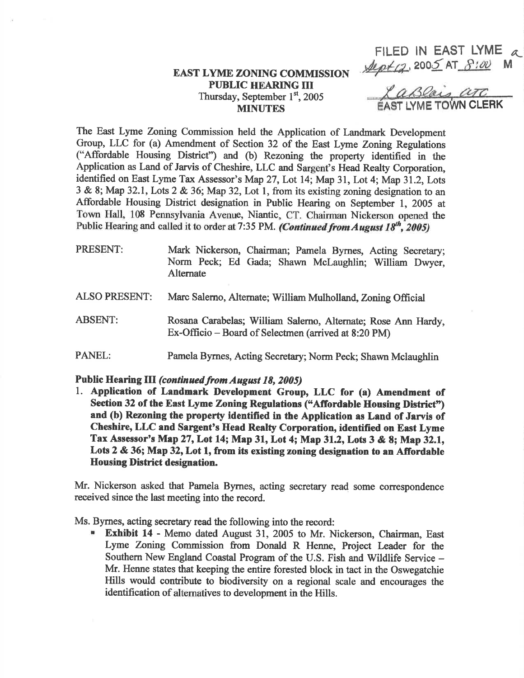## EAST LYME ZONING COMMISSION PUBLIC HEARING III Thursday, September 1st, 2005 **MINUTES**

F|LED lN EAST LYME 4  $A\varphi t$ (2, 2005 AT  $8:00$ <br> $2aB0a$ is  $a\tau c$ 

**LYME TOWN CLERK** 

The East Lyme Zoning Commission held the Application of Landmark Development Group, LLC for (a) Amendment of Section 32 of the East Lyme Zoning Regulations ("Affordable Housing District") and (b) Rezoning the property identified in the Application as Land of Jarvis of Cheshire, LLC and Sargent's Head Realty Corporation, identified on East Lyme Tax Assessor's Map 27, Lot 14; Map 31, Lot 4; Map 31.2, Lots  $3 \& 8$ ; Map 32.1, Lots 2  $\& 36$ ; Map 32, Lot 1, from its existing zoning designation to an Affordable Housing District designation in Public Hearing on September 1, 2005 at Town Hdl, 108 Pennsylvania Avenue, Niantic, CT. Chairman Nickerson opened the Public Hearing and called it to order at 7:35 PM. (Continued from August 18<sup>th</sup>, 2005)

- PRESENT: Mark Nickerson, Chairman; Pamela Byrnes, Acting Secretary; Norm Peck; Ed Gada; Shawn Mclaughlin; William Dwyer, Altemate
- ALSO PRESENT: Marc Salerno, Alternate; William Mulholland, Zoning Official
- ABSENT: Rosana Carabelas; William Salemo, Alternate; Rose Ann Hardy, Ex-Officio – Board of Selectmen (arrived at 8:20 PM)
- PANEL: Pamela Byrnes, Acting Secretary; Norm Peck; Shawn Mclaughlin

Public Hearing III (continued from August 18, 2005)<br>1. Application of Landmark Development Group, LLC for (a) Amendment of Section 32 of the East Lyme Zoning Regulations ("Affordable Housing District") and (b) Rezoning the property tdentified in the Application as Land of Jarvis of Cheshire, LLC and Sargent's Head Realty Corporation, identified on East Lyme Tax Assessor's Map 27, Lot 14; Map 31, Lot 4; Map 31.2, Lots 3 & 8; Map 32.1, Lots 2 & 36; Map 32, Lot 1, from its existing zoning designation to an Affordable Housing District designation.

Mr. Nickerson asked that Pamela Bymes, acting secretary read some correspondence received since the last meeting into the record.

Ms. Byrnes, acting secretary read the following into the record:

Exhibit 14 - Memo dated August 31, 2005 to Mr. Nickerson, Chairman, East Lyme Zoning Commission from Donald R Henne, Project Leader for the Southern New England Coastal Program of the U.S. Fish and Wildlife Service – Mr. Henne states that keeping the entire forested block in tact in the Oswegatehie Hills would contribute to biodiversity on a regional scale and encourages the identification of altematives to development in the Hills.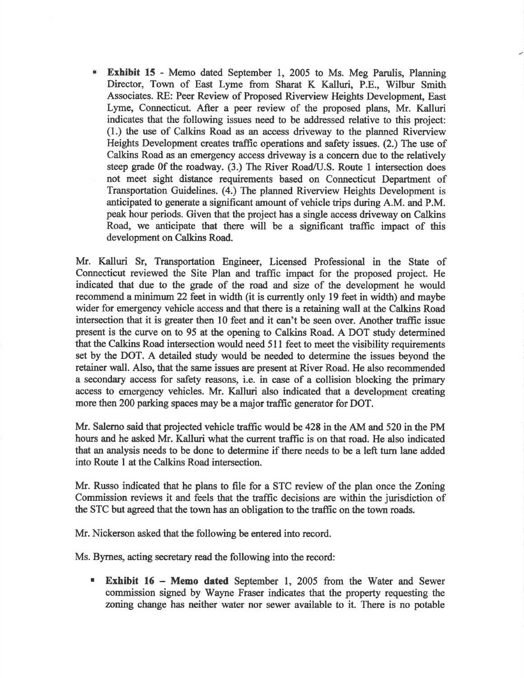**Exhibit 15** - Memo dated September 1, 2005 to Ms. Meg Parulis, Planning Director, Town of East Lyme from Sharat K Kalluri, P.E., Wilbur Smith Associates. RE: Peer Review of Proposed Riverview Heights Development, East Lyme, Connecticut. After a peer review of the proposed plans, Mr. Kalluri indicates that the following issues need to be addressed relative to this project: (1.) the use of Calkins Road as an access driveway to the planned Riverview Heights Development creates taffic operations and safety issues. (2.) The use of Calkins Road as an emergency access driveway is a concern due to the relatively steep grade 0f the roadway. (3.) The River Road/U.S. Route I intersection does not meet sight distance requirements based on Connecticut Department of Transportation Guidelines. (4.) The planned Riverview Heights Development is anticipated to generate a significant amount of vehicle frips during A.M. and P.M. peak hour periods. Given that the project has a single access driveway on Calkins Road, we anticipate that there will be a significant traffic impact of this development on Calkins Road.

Mr. Katluri Sr, Transportation Engineer, Licensed Professional in the State of Connecticut reviewed the Site Plan and traffic impact for the proposed project. He indioated that due to the grade of the road and size of the development he would recommend a minimum 22 feet in width (it is currently only 19 feet in width) and maybe wider for emergency vehicle access and that there is a retaining wall at the Calkins Road intersection that it is greater then l0 feet and it can't be seen over. Another traffic issue present is the curve on to 95 at the opening to Calkins Road. A DOT study determined that the Calkins Road intersection would need 511 feet to meet the visibility requirements set by the DOT. A detailed study would be needed to determine the issues beyond the retainer wall. Also, that the same issues are present at River Road. He also recommended a secondary access for safety reasons, i.e. in case of a collision blocking the primary access to emergency vehicles. Mr. Kalluri also indicated that a development creating more then 200 parking spaces may be a major traffic generator for DOT.

Mr. Salerno said that projected vehicle traffic would be 428 in the AM and 520 in the PM hours and he asked Mr. Kalluri what the current taffic is on that road. He also indicated that an analysis needs to be done to determine if there needs to be a left turn lane added into Route I at the Calkins Road intersection.

Mr. Russo indicated that he plans to file for a STC review of the plan once the Zoning Commission reviews it and feels that the traffic decisions are within the jurisdiction of the STC but agreed that the toum has an obligation to the traffic on the town roads.

Mr. Nickerson asked that the following be entered into record.

Ms. Byrnes, acting secretary read the following into the record:

**Exhibit 16 - Memo dated** September 1, 2005 from the Water and Sewer commission signed by Wayne Fraser indicates that the property requesting the zoning change has neither water nor sewer available to it. There is no potable  $\blacksquare$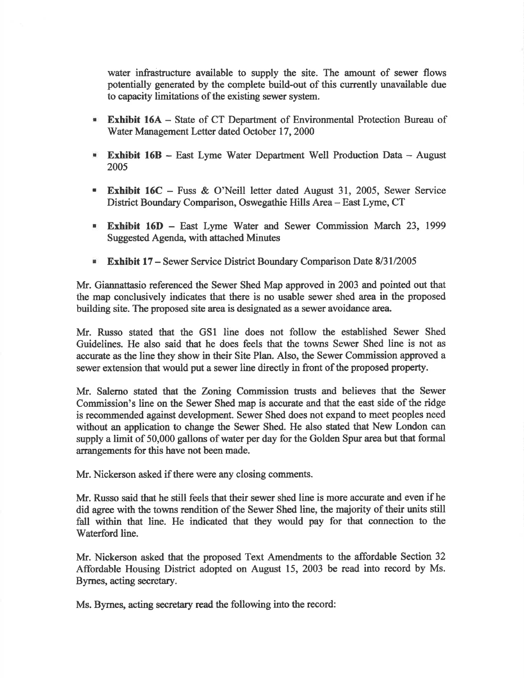water infrastructure available to supply the site. The amount of sewer flows potentially generated by the complete build-out of this currently unavailable due to capacity limitations of the existing sewer system.

- **Exhibit 16A** State of CT Department of Environmental Protection Bureau of Water Management Letter dated October 17,2000
- **Exhibit 16B** East Lyme Water Department Well Production Data August 2005
- **Exhibit 16C** Fuss & O'Neill letter dated August 31, 2005, Sewer Service District Boundary Comparison, Oswegathie Hills Area- East Lyme, CT
- **Exhibit 16D** East Lyme Water and Sewer Commission March 23, 1999 Suggested Agenda, with attached Minutes
- **Exhibit 17** Sewer Service District Boundary Comparison Date 8/31/2005

Mr. Giannattasio referenced the Sewer Shed Map approved in 2003 and pointed out that the map conclusively indicates that there is no usable sewer shed area in the proposed building site. The proposed site area is designated as a sewer avoidance area.

Mr. Russo stated that the GSI line does not follow the established Sewer Shed Guidelines. He also said that he does feels that the towns Sewer Shed line is not as accurate as the line they show in their Site Plan. Also, the Sewer Commission approved a sewer extension that would put a sewer line directly in front of the proposed properly.

Mr. Salerno stated that the Zoning Commission trusts and believes that the Sewer Commission's line on the Sewer Shed map is accurate and that the east side of the ridge is recommended against development. Sewer Shed does not expand to meet peoples need without an application to change the Sewer Shed. He also stated that New London can supply a limit of 50,000 gallons of water per day for the Golden Spur area but that formal arrangements for this have not been made.

Mr. Nickerson asked if there were any closing comments.

Mr. Russo said that he still feels that their sewer shed line is more accurate and even if he did agree with the toums rendition of the Sewer Shed line, the majority of their units still fall within that line. He indicated that they would pay for that connection to the Waterford line.

Mr. Nickerson asked that the proposed Text Amendments to the affordable Section 32 Affordable Housing District adopted on August 15, 2003 be read into record by Ms. Byrnes, acting secretary.

Ms. Bymes, acting secretary read the following into the record: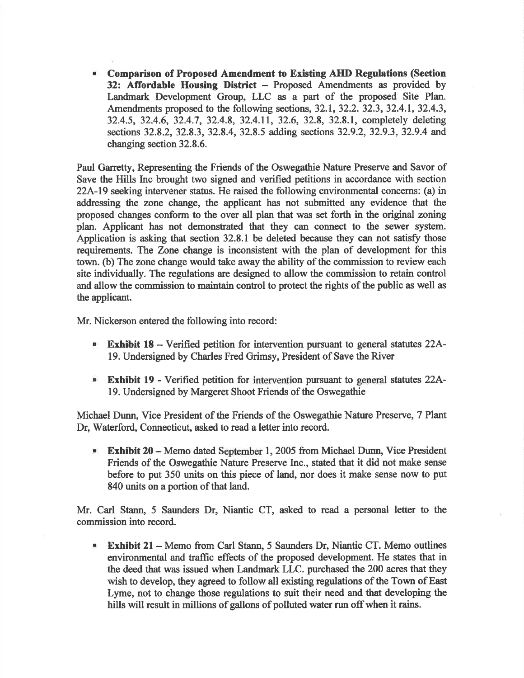**In** Comparison of Proposed Amendment to Existing AHD Regulations (Section 32: Affordable Housing District - Proposed Amendments as provided by Landmark Development Group, LLC as a part of the proposed Site Plan. Amendments proposed to the following sections, 32.1, 32.2. 32.3, 32.4.1, 32.4.3, 32.4.5, 32.4.6, 32.4.7,32.4.8, 32.4.11, 32.6,32.8,32.8.1, completely deleting sections 32.8.2, 32.8.3, 32.8.4, 32.8.5 adding sections 32.9.2, 32.9.3, 32.9.4 and changing section 32.8.6.

Paul Garretty, Representing the Friends of the Oswegathie Nature Preserve and Savor of Save the Hills Inc brought two signed and verified petitions in accordance with section 22A-19 seeking intervener status. He raised the following environmental concerns: (a) in addressing the zone change, the applicant has not submitted any evidence that the proposed changes conform to the over all plan that was set forth in the original zoning plan. Applicant has not demonstrated that they can connect to the sewer system. Application is asking that section  $32.8.1$  be deleted because they can not satisfy those requirements. The Zone change is inconsistent with the plan of development for this town. (b) The zone change would take away the ability of the commission to review each site individually. The regulations are designed to allow the commission to retain control and allow the commission to maintain contol to protect the rights of the public as well as the applicant.

Mr. Nickerson entered the following into record:

- **Exhibit 18** Verified petition for intervention pursuant to general statutes 22A-19. Undersigned by Charles Fred Grimsy, President of Save the River
- Exhibit 19 Verified petition for intervention pursuant to general statutes 22A-19. Undersigned by Margeret Shoot Friends of the Oswegathie

Michael Dunn, Vice President of the Friends of the Oswegathie Nature Preserve, 7 Plant Dr, Waterford, Connecticut, asked to read a letter into record.

**Exhibit 20** - Memo dated September 1, 2005 from Michael Dunn, Vice President Friends of the Oswegathie Nature Preserve lnc., stated that it did not make sense before to put 350 units on this piece of land, nor does it make sense now to put 840 units on a portion of that land.

Mr. Carl Stann, 5 Saunders Dr, Niantic CT, asked to read a personal letter to the commission into record.

**Exhibit 21 - Memo from Carl Stann, 5 Saunders Dr, Niantic CT. Memo outlines** environmental and taffic effects of the proposed development. He states that in the deed that was issued when Landmark LLC. purchased the 200 acres that they wish to develop, they agreed to follow all existing regulations of the Town of East Lyme, not to change those regulations to suit their need and that developing the hills will result in millions of gallons of polluted water run off when it rains.